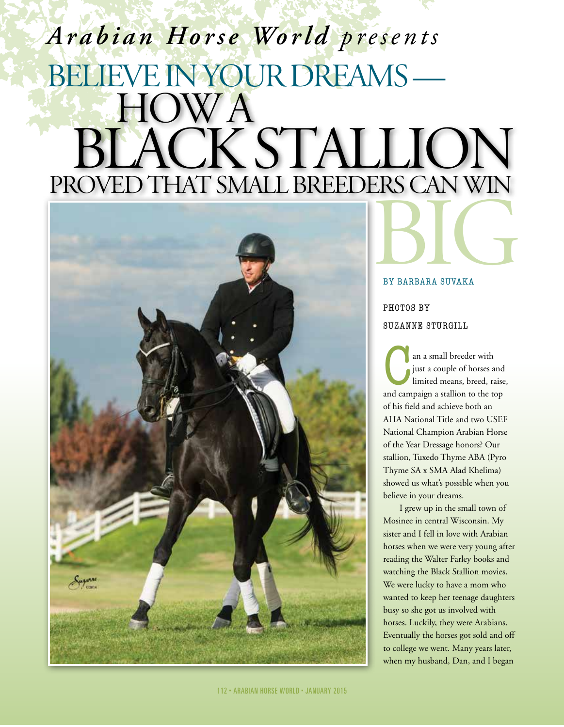## Believe in your dreams — BY BARBARA SUVAKA how a black stallion proved that small breeders can win *Arabian Horse World presents*



## by barbara suvaka

## PHOTOS BY suzanne sturgill

an a small breeder with<br>just a couple of horses a<br>limited means, breed, rand campaign a stallion to the to just a couple of horses and limited means, breed, raise, and campaign a stallion to the top of his field and achieve both an AHA National Title and two USEF National Champion Arabian Horse of the Year Dressage honors? Our stallion, Tuxedo Thyme ABA (Pyro Thyme SA x SMA Alad Khelima) showed us what's possible when you believe in your dreams.

I grew up in the small town of Mosinee in central Wisconsin. My sister and I fell in love with Arabian horses when we were very young after reading the Walter Farley books and watching the Black Stallion movies. We were lucky to have a mom who wanted to keep her teenage daughters busy so she got us involved with horses. Luckily, they were Arabians. Eventually the horses got sold and off to college we went. Many years later, when my husband, Dan, and I began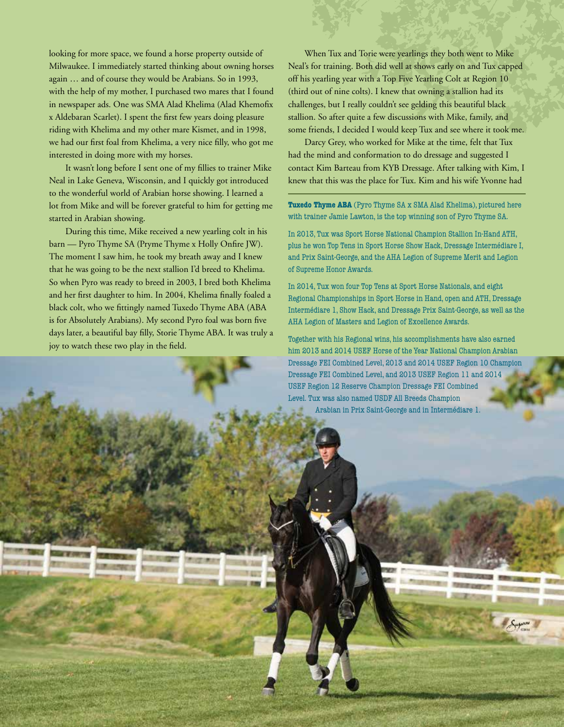looking for more space, we found a horse property outside of Milwaukee. I immediately started thinking about owning horses again … and of course they would be Arabians. So in 1993, with the help of my mother, I purchased two mares that I found in newspaper ads. One was SMA Alad Khelima (Alad Khemofix x Aldebaran Scarlet). I spent the first few years doing pleasure riding with Khelima and my other mare Kismet, and in 1998, we had our first foal from Khelima, a very nice filly, who got me interested in doing more with my horses.

It wasn't long before I sent one of my fillies to trainer Mike Neal in Lake Geneva, Wisconsin, and I quickly got introduced to the wonderful world of Arabian horse showing. I learned a lot from Mike and will be forever grateful to him for getting me started in Arabian showing.

During this time, Mike received a new yearling colt in his barn — Pyro Thyme SA (Pryme Thyme x Holly Onfire JW). The moment I saw him, he took my breath away and I knew that he was going to be the next stallion I'd breed to Khelima. So when Pyro was ready to breed in 2003, I bred both Khelima and her first daughter to him. In 2004, Khelima finally foaled a black colt, who we fittingly named Tuxedo Thyme ABA (ABA is for Absolutely Arabians). My second Pyro foal was born five days later, a beautiful bay filly, Storie Thyme ABA. It was truly a joy to watch these two play in the field.

When Tux and Torie were yearlings they both went to Mike Neal's for training. Both did well at shows early on and Tux capped off his yearling year with a Top Five Yearling Colt at Region 10 (third out of nine colts). I knew that owning a stallion had its challenges, but I really couldn't see gelding this beautiful black stallion. So after quite a few discussions with Mike, family, and some friends, I decided I would keep Tux and see where it took me.

Darcy Grey, who worked for Mike at the time, felt that Tux had the mind and conformation to do dressage and suggested I contact Kim Barteau from KYB Dressage. After talking with Kim, I knew that this was the place for Tux. Kim and his wife Yvonne had

**Tuxedo Thyme ABA** (Pyro Thyme SA x SMA Alad Khelima), pictured here with trainer Jamie Lawton, is the top winning son of Pyro Thyme SA.

In 2013, Tux was Sport Horse National Champion Stallion In-Hand ATH, plus he won Top Tens in Sport Horse Show Hack, Dressage Intermédiare I, and Prix Saint-George, and the AHA Legion of Supreme Merit and Legion of Supreme Honor Awards.

In 2014, Tux won four Top Tens at Sport Horse Nationals, and eight Regional Championships in Sport Horse in Hand, open and ATH, Dressage Intermédiare 1, Show Hack, and Dressage Prix Saint-George, as well as the AHA Legion of Masters and Legion of Excellence Awards.

Together with his Regional wins, his accomplishments have also earned him 2013 and 2014 USEF Horse of the Year National Champion Arabian Dressage FEI Combined Level, 2013 and 2014 USEF Region 10 Champion Dressage FEI Combined Level, and 2013 USEF Region 11 and 2014 USEF Region 12 Reserve Champion Dressage FEI Combined Level. Tux was also named USDF All Breeds Champion Arabian in Prix Saint-George and in Intermédiare 1.

113 b ARABIAN HORSE WORLD b january 2015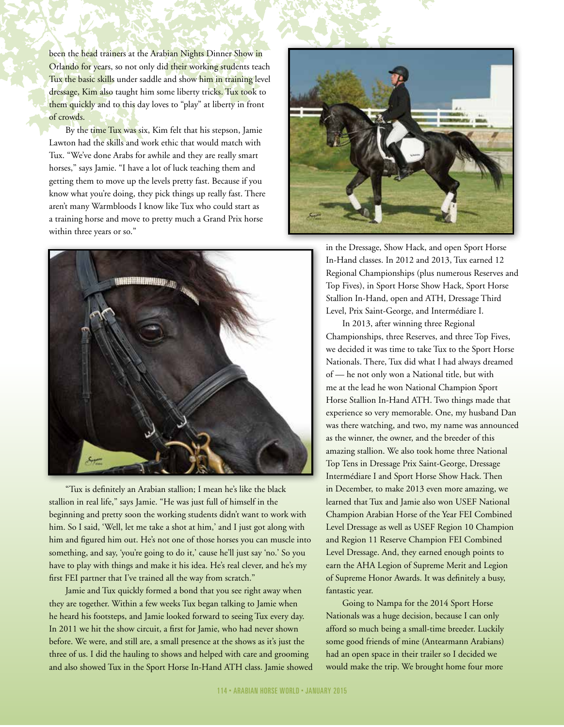been the head trainers at the Arabian Nights Dinner Show in Orlando for years, so not only did their working students teach Tux the basic skills under saddle and show him in training level dressage, Kim also taught him some liberty tricks. Tux took to them quickly and to this day loves to "play" at liberty in front of crowds.

By the time Tux was six, Kim felt that his stepson, Jamie Lawton had the skills and work ethic that would match with Tux. "We've done Arabs for awhile and they are really smart horses," says Jamie. "I have a lot of luck teaching them and getting them to move up the levels pretty fast. Because if you know what you're doing, they pick things up really fast. There aren't many Warmbloods I know like Tux who could start as a training horse and move to pretty much a Grand Prix horse within three years or so."



"Tux is definitely an Arabian stallion; I mean he's like the black stallion in real life," says Jamie. "He was just full of himself in the beginning and pretty soon the working students didn't want to work with him. So I said, 'Well, let me take a shot at him,' and I just got along with him and figured him out. He's not one of those horses you can muscle into something, and say, 'you're going to do it,' cause he'll just say 'no.' So you have to play with things and make it his idea. He's real clever, and he's my first FEI partner that I've trained all the way from scratch."

Jamie and Tux quickly formed a bond that you see right away when they are together. Within a few weeks Tux began talking to Jamie when he heard his footsteps, and Jamie looked forward to seeing Tux every day. In 2011 we hit the show circuit, a first for Jamie, who had never shown before. We were, and still are, a small presence at the shows as it's just the three of us. I did the hauling to shows and helped with care and grooming and also showed Tux in the Sport Horse In-Hand ATH class. Jamie showed



in the Dressage, Show Hack, and open Sport Horse In-Hand classes. In 2012 and 2013, Tux earned 12 Regional Championships (plus numerous Reserves and Top Fives), in Sport Horse Show Hack, Sport Horse Stallion In-Hand, open and ATH, Dressage Third Level, Prix Saint-George, and Intermédiare I.

In 2013, after winning three Regional Championships, three Reserves, and three Top Fives, we decided it was time to take Tux to the Sport Horse Nationals. There, Tux did what I had always dreamed of — he not only won a National title, but with me at the lead he won National Champion Sport Horse Stallion In-Hand ATH. Two things made that experience so very memorable. One, my husband Dan was there watching, and two, my name was announced as the winner, the owner, and the breeder of this amazing stallion. We also took home three National Top Tens in Dressage Prix Saint-George, Dressage Intermédiare I and Sport Horse Show Hack. Then in December, to make 2013 even more amazing, we learned that Tux and Jamie also won USEF National Champion Arabian Horse of the Year FEI Combined Level Dressage as well as USEF Region 10 Champion and Region 11 Reserve Champion FEI Combined Level Dressage. And, they earned enough points to earn the AHA Legion of Supreme Merit and Legion of Supreme Honor Awards. It was definitely a busy, fantastic year.

Going to Nampa for the 2014 Sport Horse Nationals was a huge decision, because I can only afford so much being a small-time breeder. Luckily some good friends of mine (Antearmann Arabians) had an open space in their trailer so I decided we would make the trip. We brought home four more